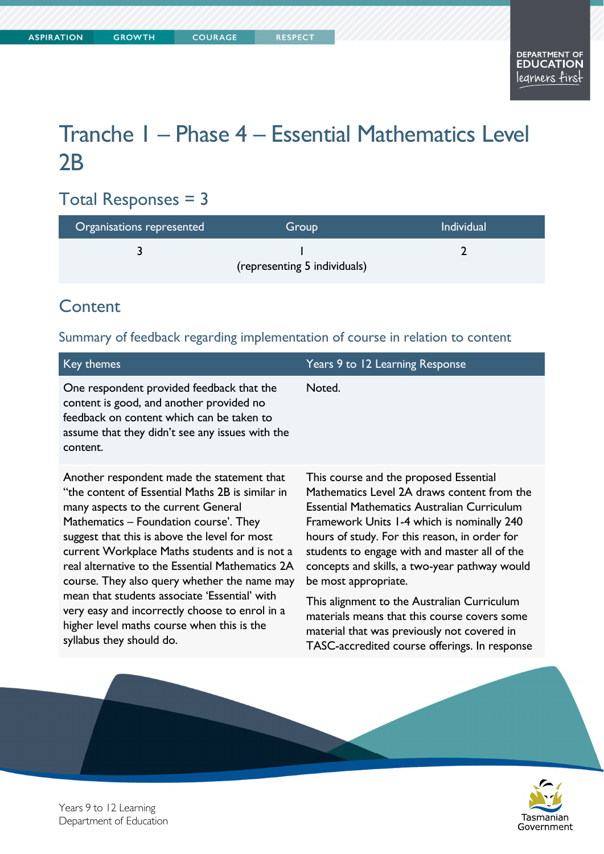# Tranche 1 – Phase 4 – Essential Mathematics Level 2B

# Total Responses = 3

| Organisations represented    | Group | <b>Individual</b> |
|------------------------------|-------|-------------------|
|                              |       |                   |
| (representing 5 individuals) |       |                   |

## **Content**

#### Summary of feedback regarding implementation of course in relation to content

| Key themes                                                                                                                                                                                                                                                                                                                                                                                                                                                                                                                                                         | Years 9 to 12 Learning Response                                                                                                                                                                                                                                                                                                                                                                                                                                                                                                                              |
|--------------------------------------------------------------------------------------------------------------------------------------------------------------------------------------------------------------------------------------------------------------------------------------------------------------------------------------------------------------------------------------------------------------------------------------------------------------------------------------------------------------------------------------------------------------------|--------------------------------------------------------------------------------------------------------------------------------------------------------------------------------------------------------------------------------------------------------------------------------------------------------------------------------------------------------------------------------------------------------------------------------------------------------------------------------------------------------------------------------------------------------------|
| One respondent provided feedback that the<br>content is good, and another provided no<br>feedback on content which can be taken to<br>assume that they didn't see any issues with the<br>content.                                                                                                                                                                                                                                                                                                                                                                  | Noted.                                                                                                                                                                                                                                                                                                                                                                                                                                                                                                                                                       |
| Another respondent made the statement that<br>"the content of Essential Maths 2B is similar in<br>many aspects to the current General<br>Mathematics – Foundation course'. They<br>suggest that this is above the level for most<br>current Workplace Maths students and is not a<br>real alternative to the Essential Mathematics 2A<br>course. They also query whether the name may<br>mean that students associate 'Essential' with<br>very easy and incorrectly choose to enrol in a<br>higher level maths course when this is the<br>syllabus they should do. | This course and the proposed Essential<br>Mathematics Level 2A draws content from the<br>Essential Mathematics Australian Curriculum<br>Framework Units 1-4 which is nominally 240<br>hours of study. For this reason, in order for<br>students to engage with and master all of the<br>concepts and skills, a two-year pathway would<br>be most appropriate.<br>This alignment to the Australian Curriculum<br>materials means that this course covers some<br>material that was previously not covered in<br>TASC-accredited course offerings. In response |



Years 9 to 12 Learning Department of Education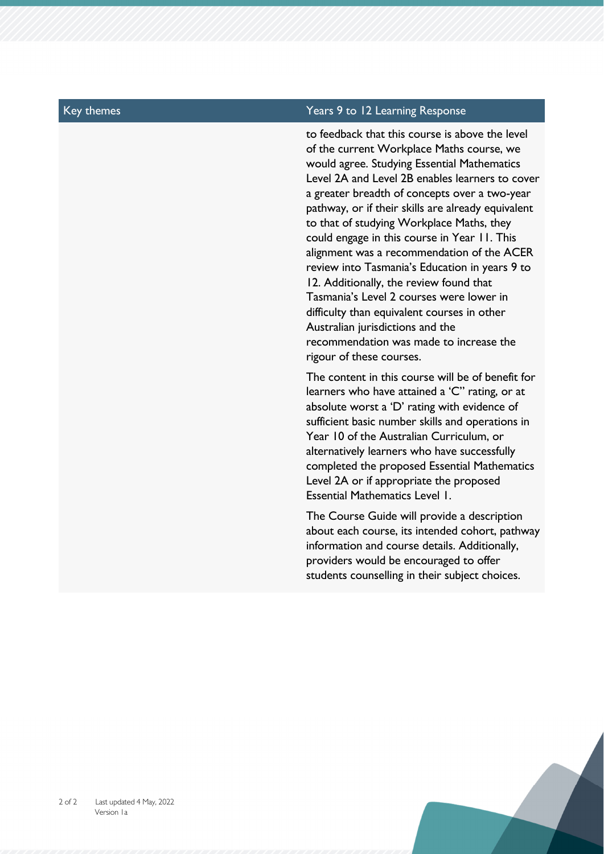#### Key themes Years 9 to 12 Learning Response

to feedback that this course is above the level of the current Workplace Maths course, we would agree. Studying Essential Mathematics Level 2A and Level 2B enables learners to cover a greater breadth of concepts over a two-year pathway, or if their skills are already equivalent to that of studying Workplace Maths, they could engage in this course in Year 11. This alignment was a recommendation of the ACER review into Tasmania's Education in years 9 to 12. Additionally, the review found that Tasmania's Level 2 courses were lower in difficulty than equivalent courses in other Australian jurisdictions and the recommendation was made to increase the rigour of these courses.

The content in this course will be of benefit for learners who have attained a 'C" rating, or at absolute worst a 'D' rating with evidence of sufficient basic number skills and operations in Year 10 of the Australian Curriculum, or alternatively learners who have successfully completed the proposed Essential Mathematics Level 2A or if appropriate the proposed Essential Mathematics Level 1.

The Course Guide will provide a description about each course, its intended cohort, pathway information and course details. Additionally, providers would be encouraged to offer students counselling in their subject choices.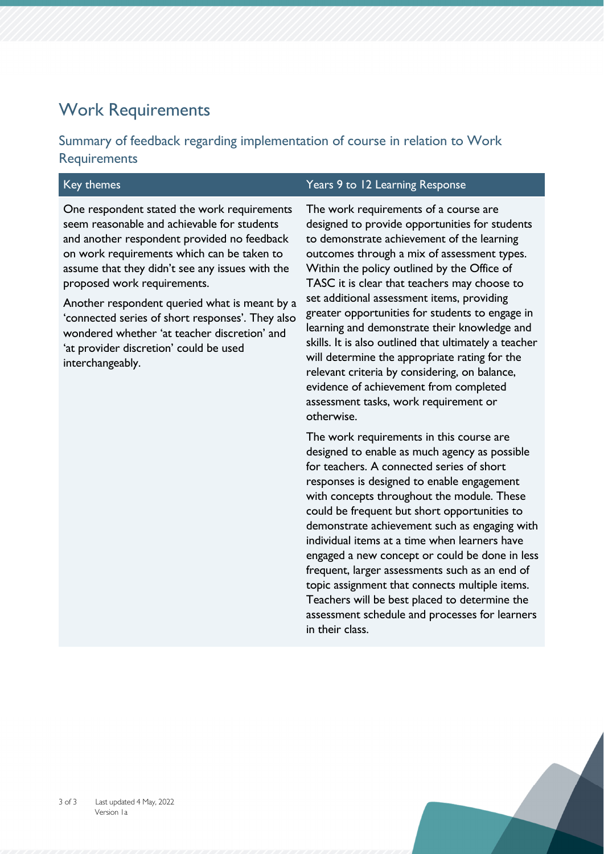# Work Requirements

### Summary of feedback regarding implementation of course in relation to Work **Requirements**

| Key themes                                                                                                                                                                                                                                                                                                                                                                                                                                                                                   | Years 9 to 12 Learning Response                                                                                                                                                                                                                                                                                                                                                                                                                                                                                                                                                                                                                                                                  |
|----------------------------------------------------------------------------------------------------------------------------------------------------------------------------------------------------------------------------------------------------------------------------------------------------------------------------------------------------------------------------------------------------------------------------------------------------------------------------------------------|--------------------------------------------------------------------------------------------------------------------------------------------------------------------------------------------------------------------------------------------------------------------------------------------------------------------------------------------------------------------------------------------------------------------------------------------------------------------------------------------------------------------------------------------------------------------------------------------------------------------------------------------------------------------------------------------------|
| One respondent stated the work requirements<br>seem reasonable and achievable for students<br>and another respondent provided no feedback<br>on work requirements which can be taken to<br>assume that they didn't see any issues with the<br>proposed work requirements.<br>Another respondent queried what is meant by a<br>'connected series of short responses'. They also<br>wondered whether 'at teacher discretion' and<br>'at provider discretion' could be used<br>interchangeably. | The work requirements of a course are<br>designed to provide opportunities for students<br>to demonstrate achievement of the learning<br>outcomes through a mix of assessment types.<br>Within the policy outlined by the Office of<br>TASC it is clear that teachers may choose to<br>set additional assessment items, providing<br>greater opportunities for students to engage in<br>learning and demonstrate their knowledge and<br>skills. It is also outlined that ultimately a teacher<br>will determine the appropriate rating for the<br>relevant criteria by considering, on balance,<br>evidence of achievement from completed<br>assessment tasks, work requirement or<br>otherwise. |
|                                                                                                                                                                                                                                                                                                                                                                                                                                                                                              | The work requirements in this course are<br>designed to enable as much agency as possible<br>for teachers. A connected series of short<br>responses is designed to enable engagement<br>with concepts throughout the module. These<br>could be frequent but short opportunities to<br>demonstrate achievement such as engaging with<br>individual items at a time when learners have<br>engaged a new concept or could be done in less<br>frequent, larger assessments such as an end of<br>topic assignment that connects multiple items.<br>Teachers will be best placed to determine the                                                                                                      |

in their class.

assessment schedule and processes for learners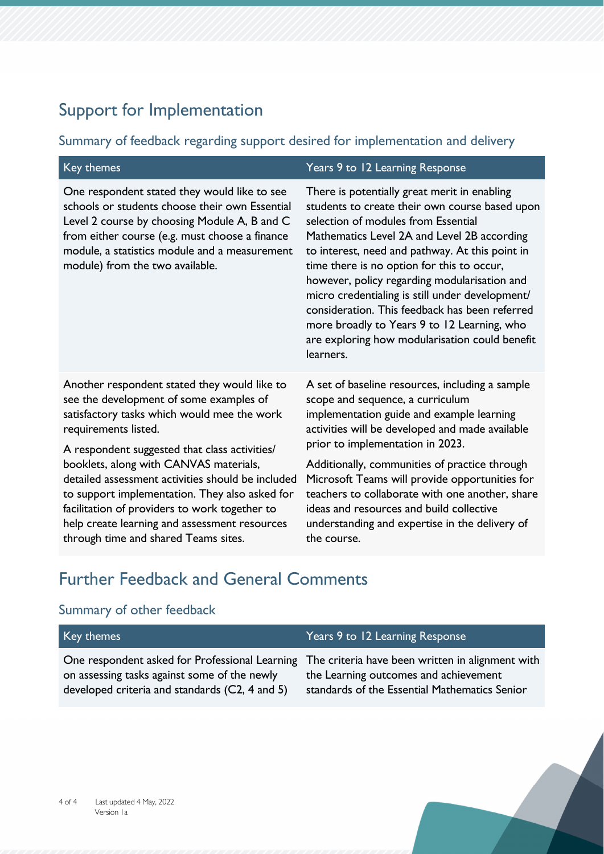# Support for Implementation

#### Summary of feedback regarding support desired for implementation and delivery

| Key themes                                                                                                                                                                                                                                                                                                                                                                                                                                                                                                 | Years 9 to 12 Learning Response                                                                                                                                                                                                                                                                                                                                                                                                                                                                                                                          |
|------------------------------------------------------------------------------------------------------------------------------------------------------------------------------------------------------------------------------------------------------------------------------------------------------------------------------------------------------------------------------------------------------------------------------------------------------------------------------------------------------------|----------------------------------------------------------------------------------------------------------------------------------------------------------------------------------------------------------------------------------------------------------------------------------------------------------------------------------------------------------------------------------------------------------------------------------------------------------------------------------------------------------------------------------------------------------|
| One respondent stated they would like to see<br>schools or students choose their own Essential<br>Level 2 course by choosing Module A, B and C<br>from either course (e.g. must choose a finance<br>module, a statistics module and a measurement<br>module) from the two available.                                                                                                                                                                                                                       | There is potentially great merit in enabling<br>students to create their own course based upon<br>selection of modules from Essential<br>Mathematics Level 2A and Level 2B according<br>to interest, need and pathway. At this point in<br>time there is no option for this to occur,<br>however, policy regarding modularisation and<br>micro credentialing is still under development/<br>consideration. This feedback has been referred<br>more broadly to Years 9 to 12 Learning, who<br>are exploring how modularisation could benefit<br>learners. |
| Another respondent stated they would like to<br>see the development of some examples of<br>satisfactory tasks which would mee the work<br>requirements listed.<br>A respondent suggested that class activities/<br>booklets, along with CANVAS materials,<br>detailed assessment activities should be included<br>to support implementation. They also asked for<br>facilitation of providers to work together to<br>help create learning and assessment resources<br>through time and shared Teams sites. | A set of baseline resources, including a sample<br>scope and sequence, a curriculum<br>implementation guide and example learning<br>activities will be developed and made available<br>prior to implementation in 2023.<br>Additionally, communities of practice through<br>Microsoft Teams will provide opportunities for<br>teachers to collaborate with one another, share<br>ideas and resources and build collective<br>understanding and expertise in the delivery of<br>the course.                                                               |

# Further Feedback and General Comments

### Summary of other feedback

| Key themes                                                                                                                                                                                        | Years 9 to 12 Learning Response                                                        |
|---------------------------------------------------------------------------------------------------------------------------------------------------------------------------------------------------|----------------------------------------------------------------------------------------|
| One respondent asked for Professional Learning The criteria have been written in alignment with<br>on assessing tasks against some of the newly<br>developed criteria and standards (C2, 4 and 5) | the Learning outcomes and achievement<br>standards of the Essential Mathematics Senior |